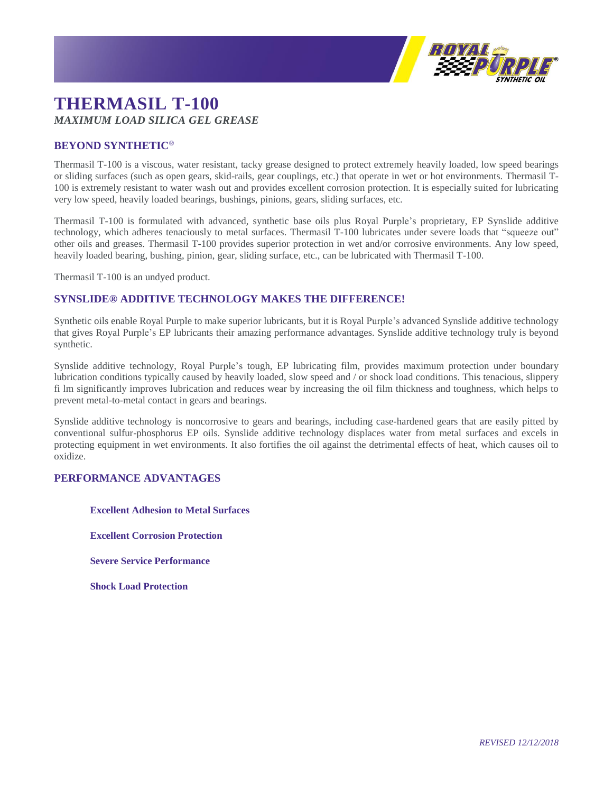

## **THERMASIL T-100** *MAXIMUM LOAD SILICA GEL GREASE*

## **BEYOND SYNTHETIC®**

Thermasil T-100 is a viscous, water resistant, tacky grease designed to protect extremely heavily loaded, low speed bearings or sliding surfaces (such as open gears, skid-rails, gear couplings, etc.) that operate in wet or hot environments. Thermasil T-100 is extremely resistant to water wash out and provides excellent corrosion protection. It is especially suited for lubricating very low speed, heavily loaded bearings, bushings, pinions, gears, sliding surfaces, etc.

Thermasil T-100 is formulated with advanced, synthetic base oils plus Royal Purple's proprietary, EP Synslide additive technology, which adheres tenaciously to metal surfaces. Thermasil T-100 lubricates under severe loads that "squeeze out" other oils and greases. Thermasil T-100 provides superior protection in wet and/or corrosive environments. Any low speed, heavily loaded bearing, bushing, pinion, gear, sliding surface, etc., can be lubricated with Thermasil T-100.

Thermasil T-100 is an undyed product.

## **SYNSLIDE® ADDITIVE TECHNOLOGY MAKES THE DIFFERENCE!**

Synthetic oils enable Royal Purple to make superior lubricants, but it is Royal Purple's advanced Synslide additive technology that gives Royal Purple's EP lubricants their amazing performance advantages. Synslide additive technology truly is beyond synthetic.

Synslide additive technology, Royal Purple's tough, EP lubricating film, provides maximum protection under boundary lubrication conditions typically caused by heavily loaded, slow speed and / or shock load conditions. This tenacious, slippery fi lm significantly improves lubrication and reduces wear by increasing the oil film thickness and toughness, which helps to prevent metal-to-metal contact in gears and bearings.

Synslide additive technology is noncorrosive to gears and bearings, including case-hardened gears that are easily pitted by conventional sulfur-phosphorus EP oils. Synslide additive technology displaces water from metal surfaces and excels in protecting equipment in wet environments. It also fortifies the oil against the detrimental effects of heat, which causes oil to oxidize.

## **PERFORMANCE ADVANTAGES**

**Excellent Adhesion to Metal Surfaces**

**Excellent Corrosion Protection**

**Severe Service Performance**

**Shock Load Protection**